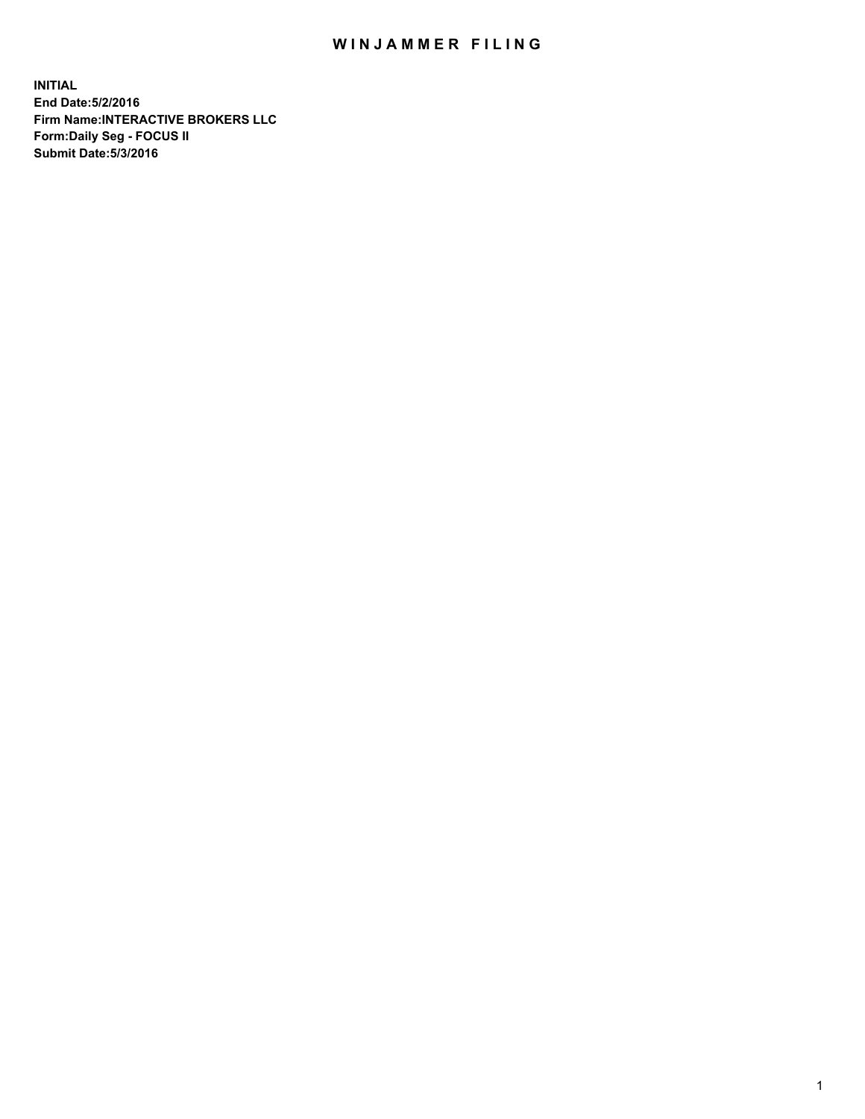## WIN JAMMER FILING

**INITIAL End Date:5/2/2016 Firm Name:INTERACTIVE BROKERS LLC Form:Daily Seg - FOCUS II Submit Date:5/3/2016**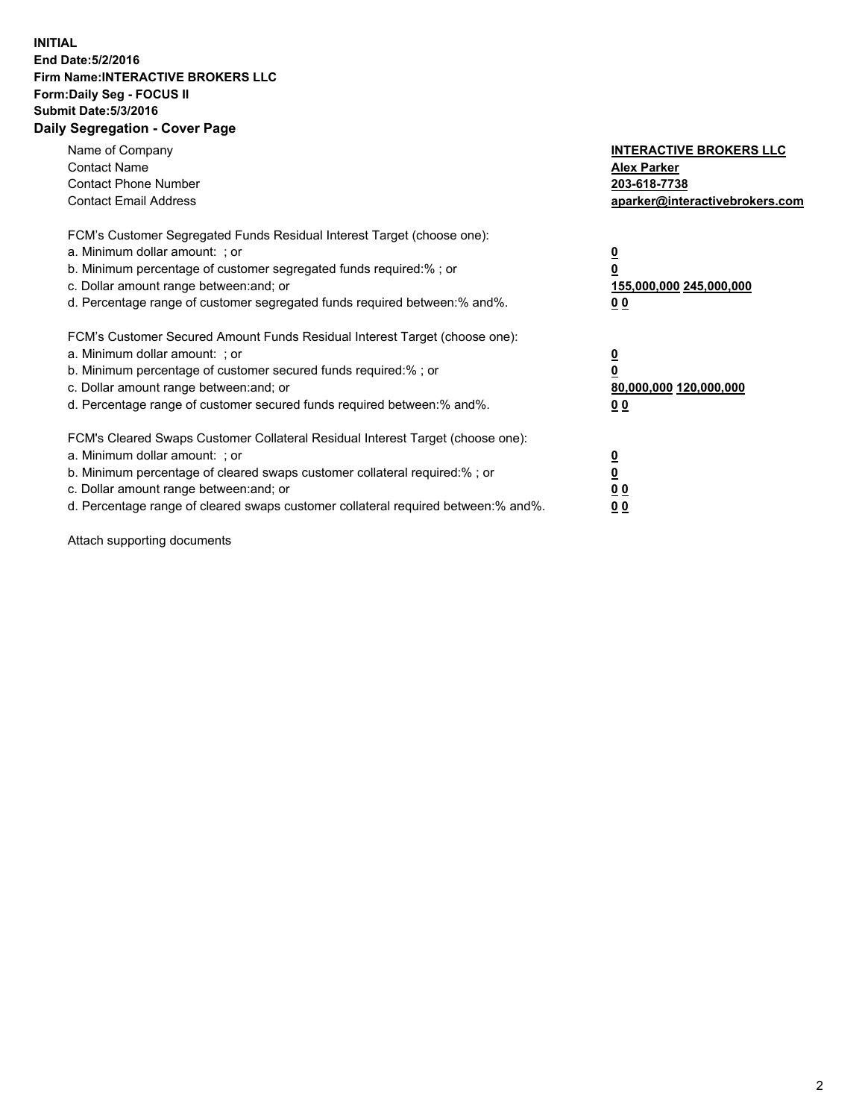## **INITIAL End Date:5/2/2016 Firm Name:INTERACTIVE BROKERS LLC Form:Daily Seg - FOCUS II Submit Date:5/3/2016 Daily Segregation - Cover Page**

| Name of Company<br><b>Contact Name</b><br><b>Contact Phone Number</b><br><b>Contact Email Address</b>                                                                                                                                                                                                                          | <b>INTERACTIVE BROKERS LLC</b><br><b>Alex Parker</b><br>203-618-7738<br>aparker@interactivebrokers.com |
|--------------------------------------------------------------------------------------------------------------------------------------------------------------------------------------------------------------------------------------------------------------------------------------------------------------------------------|--------------------------------------------------------------------------------------------------------|
| FCM's Customer Segregated Funds Residual Interest Target (choose one):<br>a. Minimum dollar amount: ; or<br>b. Minimum percentage of customer segregated funds required:%; or<br>c. Dollar amount range between: and; or<br>d. Percentage range of customer segregated funds required between:% and%.                          | <u>0</u><br>155,000,000 245,000,000<br><u>00</u>                                                       |
| FCM's Customer Secured Amount Funds Residual Interest Target (choose one):<br>a. Minimum dollar amount: ; or<br>b. Minimum percentage of customer secured funds required:%; or<br>c. Dollar amount range between: and; or<br>d. Percentage range of customer secured funds required between:% and%.                            | <u>0</u><br>80,000,000 120,000,000<br>0 <sub>0</sub>                                                   |
| FCM's Cleared Swaps Customer Collateral Residual Interest Target (choose one):<br>a. Minimum dollar amount: ; or<br>b. Minimum percentage of cleared swaps customer collateral required:% ; or<br>c. Dollar amount range between: and; or<br>d. Percentage range of cleared swaps customer collateral required between:% and%. | ₫<br>0 <sub>0</sub><br>0 <sub>0</sub>                                                                  |

Attach supporting documents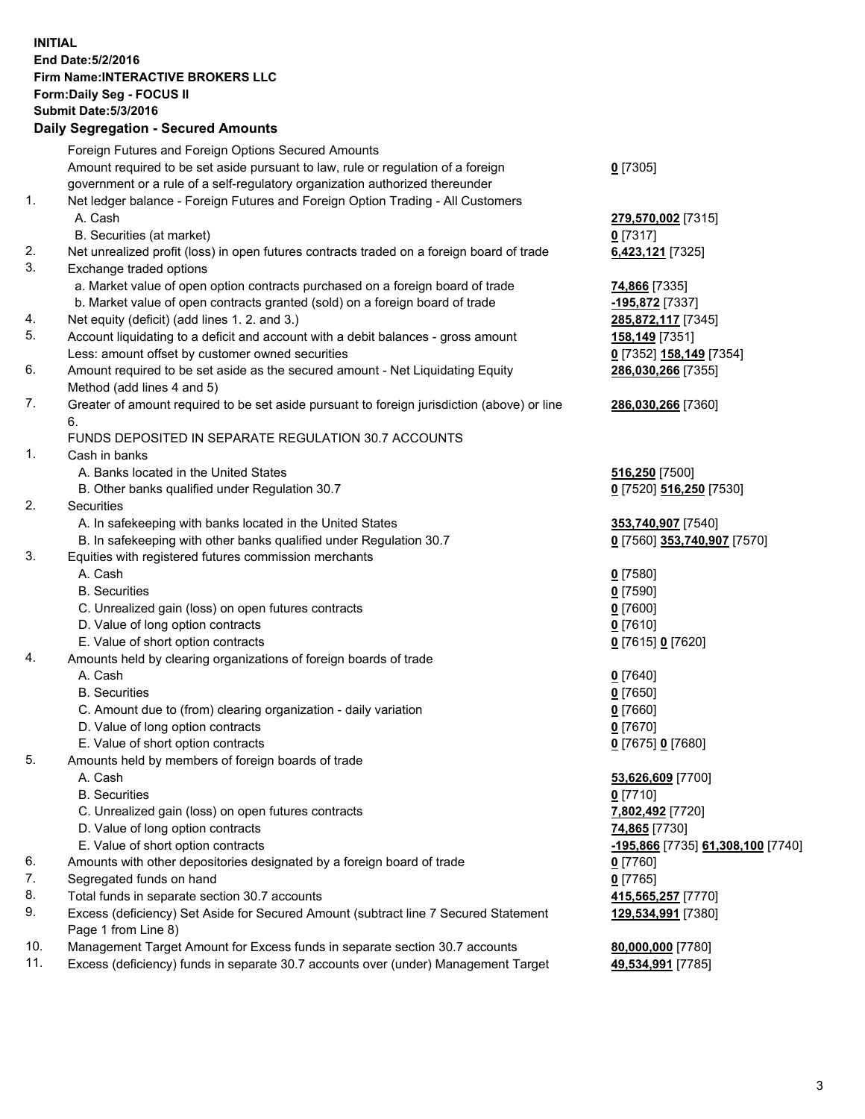## **INITIAL End Date:5/2/2016 Firm Name:INTERACTIVE BROKERS LLC Form:Daily Seg - FOCUS II Submit Date:5/3/2016 Daily Segregation - Secured Amounts**

|     | Foreign Futures and Foreign Options Secured Amounts                                         |                                   |
|-----|---------------------------------------------------------------------------------------------|-----------------------------------|
|     | Amount required to be set aside pursuant to law, rule or regulation of a foreign            | $0$ [7305]                        |
|     | government or a rule of a self-regulatory organization authorized thereunder                |                                   |
| 1.  | Net ledger balance - Foreign Futures and Foreign Option Trading - All Customers             |                                   |
|     | A. Cash                                                                                     | 279,570,002 [7315]                |
|     | B. Securities (at market)                                                                   | $0$ [7317]                        |
| 2.  | Net unrealized profit (loss) in open futures contracts traded on a foreign board of trade   | 6,423,121 [7325]                  |
| 3.  | Exchange traded options                                                                     |                                   |
|     | a. Market value of open option contracts purchased on a foreign board of trade              | 74,866 [7335]                     |
|     | b. Market value of open contracts granted (sold) on a foreign board of trade                | -195,872 [7337]                   |
| 4.  | Net equity (deficit) (add lines 1.2. and 3.)                                                | 285,872,117 [7345]                |
| 5.  | Account liquidating to a deficit and account with a debit balances - gross amount           | 158,149 [7351]                    |
|     | Less: amount offset by customer owned securities                                            | 0 [7352] 158,149 [7354]           |
| 6.  | Amount required to be set aside as the secured amount - Net Liquidating Equity              | 286,030,266 [7355]                |
|     | Method (add lines 4 and 5)                                                                  |                                   |
| 7.  | Greater of amount required to be set aside pursuant to foreign jurisdiction (above) or line | 286,030,266 [7360]                |
|     | 6.                                                                                          |                                   |
|     | FUNDS DEPOSITED IN SEPARATE REGULATION 30.7 ACCOUNTS                                        |                                   |
| 1.  | Cash in banks                                                                               |                                   |
|     | A. Banks located in the United States                                                       | <b>516,250</b> [7500]             |
|     | B. Other banks qualified under Regulation 30.7                                              | 0 [7520] 516,250 [7530]           |
| 2.  | Securities                                                                                  |                                   |
|     | A. In safekeeping with banks located in the United States                                   | 353,740,907 [7540]                |
|     | B. In safekeeping with other banks qualified under Regulation 30.7                          | 0 [7560] 353,740,907 [7570]       |
| 3.  | Equities with registered futures commission merchants                                       |                                   |
|     | A. Cash                                                                                     | $0$ [7580]                        |
|     | <b>B.</b> Securities                                                                        | $0$ [7590]                        |
|     | C. Unrealized gain (loss) on open futures contracts                                         | $0$ [7600]                        |
|     | D. Value of long option contracts                                                           | $0$ [7610]                        |
|     | E. Value of short option contracts                                                          | 0 [7615] 0 [7620]                 |
| 4.  | Amounts held by clearing organizations of foreign boards of trade                           |                                   |
|     | A. Cash                                                                                     | $0$ [7640]                        |
|     | <b>B.</b> Securities                                                                        | $0$ [7650]                        |
|     | C. Amount due to (from) clearing organization - daily variation                             | $0$ [7660]                        |
|     | D. Value of long option contracts                                                           | $0$ [7670]                        |
|     | E. Value of short option contracts                                                          | 0 [7675] 0 [7680]                 |
| 5.  | Amounts held by members of foreign boards of trade                                          |                                   |
|     | A. Cash                                                                                     | 53,626,609 [7700]                 |
|     | <b>B.</b> Securities                                                                        | $0$ [7710]                        |
|     | C. Unrealized gain (loss) on open futures contracts                                         | 7,802,492 [7720]                  |
|     | D. Value of long option contracts                                                           | 74,865 [7730]                     |
|     | E. Value of short option contracts                                                          | -195,866 [7735] 61,308,100 [7740] |
| 6.  | Amounts with other depositories designated by a foreign board of trade                      | $0$ [7760]                        |
| 7.  | Segregated funds on hand                                                                    | $0$ [7765]                        |
| 8.  | Total funds in separate section 30.7 accounts                                               | 415,565,257 [7770]                |
| 9.  | Excess (deficiency) Set Aside for Secured Amount (subtract line 7 Secured Statement         | 129,534,991 [7380]                |
|     | Page 1 from Line 8)                                                                         |                                   |
| 10. | Management Target Amount for Excess funds in separate section 30.7 accounts                 | 80,000,000 [7780]                 |
| 11. | Excess (deficiency) funds in separate 30.7 accounts over (under) Management Target          | 49,534,991 [7785]                 |
|     |                                                                                             |                                   |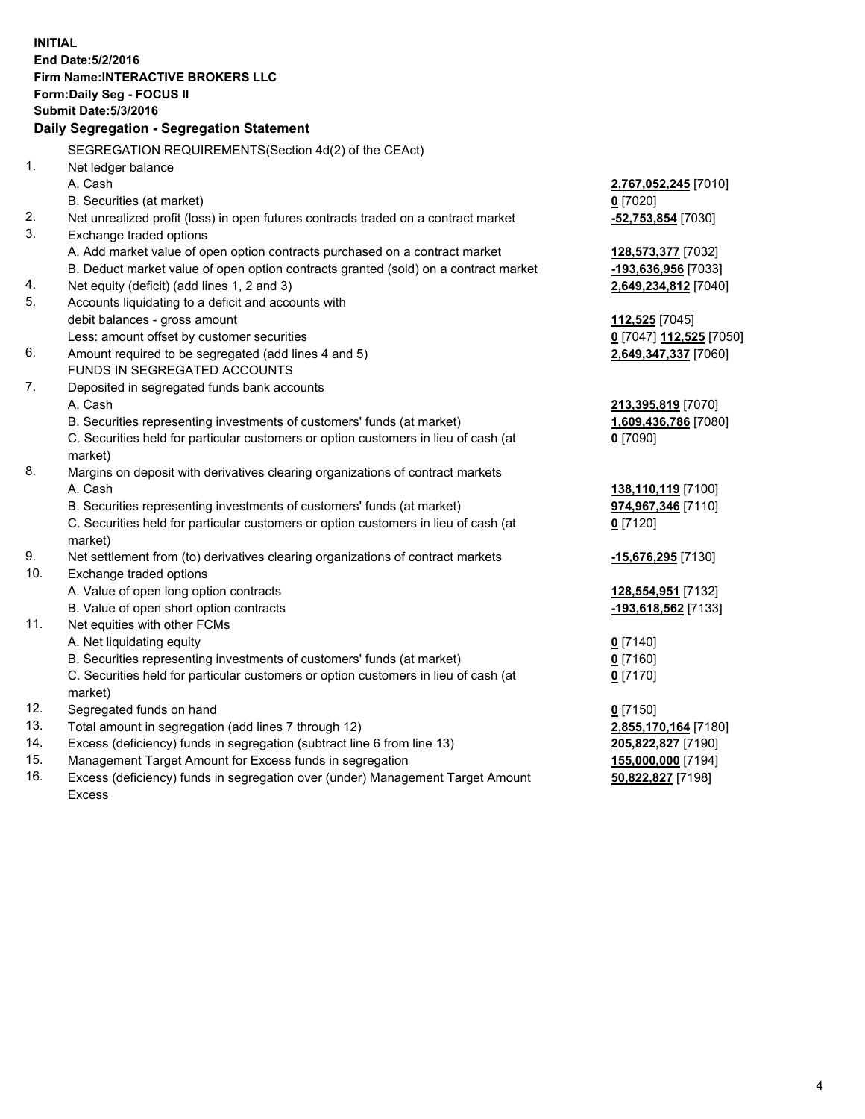**INITIAL End Date:5/2/2016 Firm Name:INTERACTIVE BROKERS LLC Form:Daily Seg - FOCUS II Submit Date:5/3/2016 Daily Segregation - Segregation Statement** SEGREGATION REQUIREMENTS(Section 4d(2) of the CEAct) 1. Net ledger balance A. Cash **2,767,052,245** [7010] B. Securities (at market) **0** [7020] 2. Net unrealized profit (loss) in open futures contracts traded on a contract market **-52,753,854** [7030] 3. Exchange traded options A. Add market value of open option contracts purchased on a contract market **128,573,377** [7032] B. Deduct market value of open option contracts granted (sold) on a contract market **-193,636,956** [7033] 4. Net equity (deficit) (add lines 1, 2 and 3) **2,649,234,812** [7040] 5. Accounts liquidating to a deficit and accounts with debit balances - gross amount **112,525** [7045] Less: amount offset by customer securities **0** [7047] **112,525** [7050] 6. Amount required to be segregated (add lines 4 and 5) **2,649,347,337** [7060] FUNDS IN SEGREGATED ACCOUNTS 7. Deposited in segregated funds bank accounts A. Cash **213,395,819** [7070] B. Securities representing investments of customers' funds (at market) **1,609,436,786** [7080] C. Securities held for particular customers or option customers in lieu of cash (at market) **0** [7090] 8. Margins on deposit with derivatives clearing organizations of contract markets A. Cash **138,110,119** [7100] B. Securities representing investments of customers' funds (at market) **974,967,346** [7110] C. Securities held for particular customers or option customers in lieu of cash (at market) **0** [7120] 9. Net settlement from (to) derivatives clearing organizations of contract markets **-15,676,295** [7130] 10. Exchange traded options A. Value of open long option contracts **128,554,951** [7132] B. Value of open short option contracts **-193,618,562** [7133] 11. Net equities with other FCMs A. Net liquidating equity **0** [7140] B. Securities representing investments of customers' funds (at market) **0** [7160] C. Securities held for particular customers or option customers in lieu of cash (at market) **0** [7170] 12. Segregated funds on hand **0** [7150] 13. Total amount in segregation (add lines 7 through 12) **2,855,170,164** [7180] 14. Excess (deficiency) funds in segregation (subtract line 6 from line 13) **205,822,827** [7190] 15. Management Target Amount for Excess funds in segregation **155,000,000** [7194] 16. Excess (deficiency) funds in segregation over (under) Management Target Amount Excess **50,822,827** [7198]